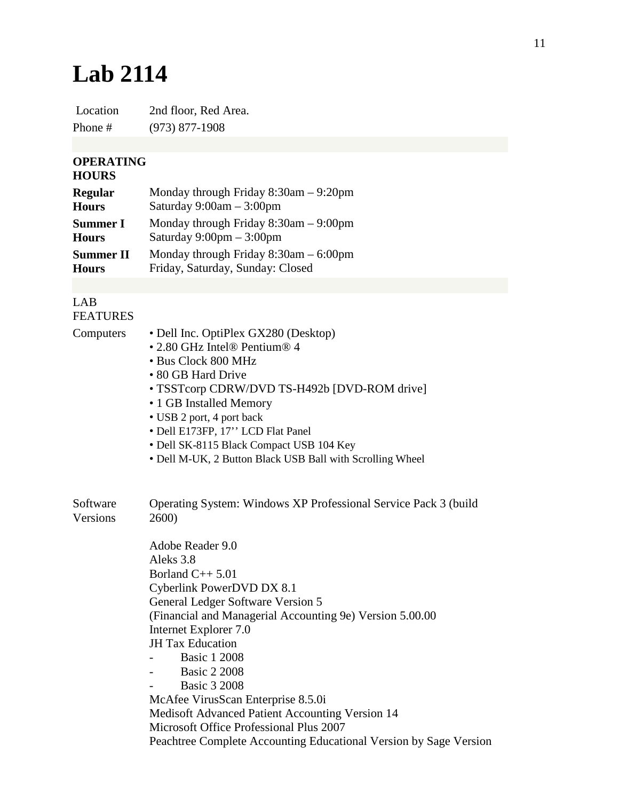## **Lab 2114**

Location 2nd floor, Red Area. Phone # (973) 877-1908

## **OPERATING**

## **HOURS**

| <b>Regular</b>   | Monday through Friday $8:30$ am $-9:20$ pm |
|------------------|--------------------------------------------|
| <b>Hours</b>     | Saturday $9:00am - 3:00pm$                 |
| <b>Summer I</b>  | Monday through Friday $8:30$ am $-9:00$ pm |
| <b>Hours</b>     | Saturday $9:00 \text{pm} - 3:00 \text{pm}$ |
| <b>Summer II</b> | Monday through Friday $8:30$ am $-6:00$ pm |
| <b>Hours</b>     | Friday, Saturday, Sunday: Closed           |

## LAB FEATURES

| Computers | • Dell Inc. OptiPlex GX280 (Desktop)<br>• 2.80 GHz Intel® Pentium® 4 |  |
|-----------|----------------------------------------------------------------------|--|
|           |                                                                      |  |
|           | • Bus Clock 800 MHz                                                  |  |
|           | • 80 GB Hard Drive                                                   |  |
|           | • TSSTcorp CDRW/DVD TS-H492b [DVD-ROM drive]                         |  |
|           | • 1 GB Installed Memory                                              |  |
|           | • USB 2 port, 4 port back                                            |  |
|           | • Dell E173FP, 17" LCD Flat Panel                                    |  |
|           | • Dell SK-8115 Black Compact USB 104 Key                             |  |
|           | • Dell M-UK, 2 Button Black USB Ball with Scrolling Wheel            |  |
|           |                                                                      |  |
| Software  | Operating System: Windows XP Professional Service Pack 3 (build      |  |
| Versions  | 2600)                                                                |  |
|           | Adobe Reader 9.0                                                     |  |
|           | Aleks 3.8                                                            |  |
|           | Borland $C_{++}$ 5.01                                                |  |
|           | Cyberlink PowerDVD DX 8.1                                            |  |
|           | General Ledger Software Version 5                                    |  |
|           | (Financial and Managerial Accounting 9e) Version 5.00.00             |  |
|           | Internet Explorer 7.0                                                |  |
|           | <b>JH</b> Tax Education                                              |  |
|           | <b>Basic 1 2008</b>                                                  |  |
|           | <b>Basic 2 2008</b>                                                  |  |
|           | <b>Basic 3 2008</b>                                                  |  |
|           | McAfee VirusScan Enterprise 8.5.0i                                   |  |
|           | Medisoft Advanced Patient Accounting Version 14                      |  |
|           | Microsoft Office Professional Plus 2007                              |  |
|           | Peachtree Complete Accounting Educational Version by Sage Version    |  |